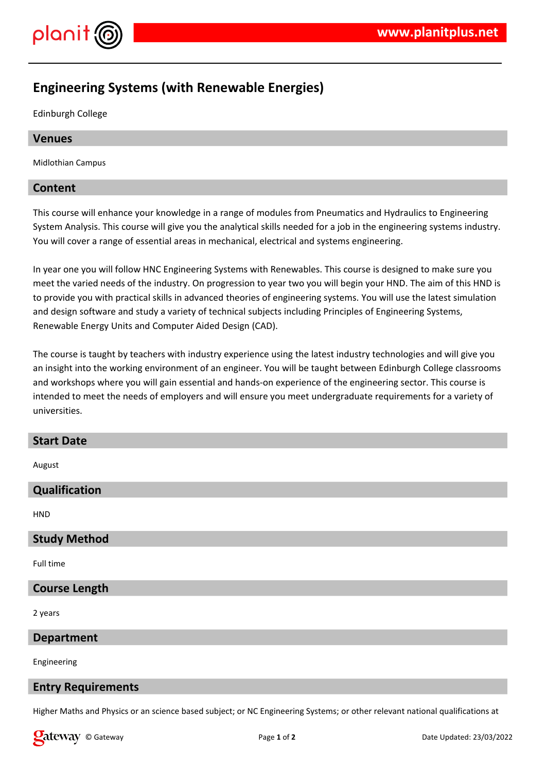

# **Engineering Systems (with Renewable Energies)**

Edinburgh College

## **Venues**

Midlothian Campus

# **Content**

This course will enhance your knowledge in a range of modules from Pneumatics and Hydraulics to Engineering System Analysis. This course will give you the analytical skills needed for a job in the engineering systems industry. You will cover a range of essential areas in mechanical, electrical and systems engineering.

In year one you will follow HNC Engineering Systems with Renewables. This course is designed to make sure you meet the varied needs of the industry. On progression to year two you will begin your HND. The aim of this HND is to provide you with practical skills in advanced theories of engineering systems. You will use the latest simulation and design software and study a variety of technical subjects including Principles of Engineering Systems, Renewable Energy Units and Computer Aided Design (CAD).

The course is taught by teachers with industry experience using the latest industry technologies and will give you an insight into the working environment of an engineer. You will be taught between Edinburgh College classrooms and workshops where you will gain essential and hands-on experience of the engineering sector. This course is intended to meet the needs of employers and will ensure you meet undergraduate requirements for a variety of universities.

## **Start Date**

August

# **Qualification**

**HND** 

## **Study Method**

Full time

# **Course Length**

2 years

#### **Department**

Engineering

## **Entry Requirements**

Higher Maths and Physics or an science based subject; or NC Engineering Systems; or other relevant national qualifications at